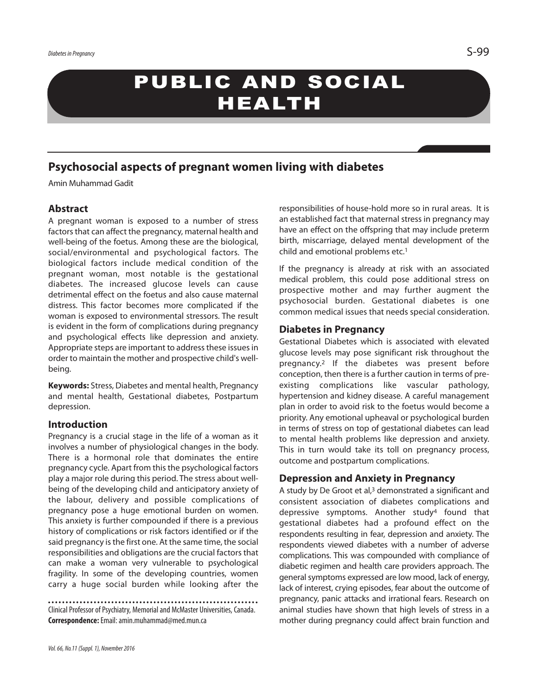# PUBLIC AND SOCIAL HEALTH

# **Psychosocial aspects of pregnant women living with diabetes**

Amin Muhammad Gadit

## **Abstract**

A pregnant woman is exposed to a number of stress factors that can affect the pregnancy, maternal health and well-being of the foetus. Among these are the biological, social/environmental and psychological factors. The biological factors include medical condition of the pregnant woman, most notable is the gestational diabetes. The increased glucose levels can cause detrimental effect on the foetus and also cause maternal distress. This factor becomes more complicated if the woman is exposed to environmental stressors. The result is evident in the form of complications during pregnancy and psychological effects like depression and anxiety. Appropriate steps are important to address these issues in order to maintain the mother and prospective child's wellbeing.

**Keywords:** Stress, Diabetes and mental health, Pregnancy and mental health, Gestational diabetes, Postpartum depression.

#### **Introduction**

Pregnancy is a crucial stage in the life of a woman as it involves a number of physiological changes in the body. There is a hormonal role that dominates the entire pregnancy cycle. Apart from this the psychological factors play a major role during this period. The stress about wellbeing of the developing child and anticipatory anxiety of the labour, delivery and possible complications of pregnancy pose a huge emotional burden on women. This anxiety is further compounded if there is a previous history of complications or risk factors identified or if the said pregnancy is the first one. At the same time, the social responsibilities and obligations are the crucial factors that can make a woman very vulnerable to psychological fragility. In some of the developing countries, women carry a huge social burden while looking after the

Clinical Professor of Psychiatry, Memorial and McMaster Universities, Canada. **Correspondence:**Email:amin.muhammad@med.mun.ca

responsibilities of house-hold more so in rural areas. It is an established fact that maternal stress in pregnancy may have an effect on the offspring that may include preterm birth, miscarriage, delayed mental development of the child and emotional problems etc. 1

If the pregnancy is already at risk with an associated medical problem, this could pose additional stress on prospective mother and may further augment the psychosocial burden. Gestational diabetes is one common medical issues that needs special consideration.

#### **Diabetes in Pregnancy**

Gestational Diabetes which is associated with elevated glucose levels may pose significant risk throughout the pregnancy. <sup>2</sup> If the diabetes was present before conception, then there is a further caution in terms of preexisting complications like vascular pathology, hypertension and kidney disease. A careful management plan in order to avoid risk to the foetus would become a priority. Any emotional upheaval or psychological burden in terms of stress on top of gestational diabetes can lead to mental health problems like depression and anxiety. This in turn would take its toll on pregnancy process, outcome and postpartum complications.

#### **Depression and Anxiety in Pregnancy**

A study by De Groot et al, <sup>3</sup> demonstrated a significant and consistent association of diabetes complications and depressive symptoms. Another study<sup>4</sup> found that gestational diabetes had a profound effect on the respondents resulting in fear, depression and anxiety. The respondents viewed diabetes with a number of adverse complications. This was compounded with compliance of diabetic regimen and health care providers approach. The general symptoms expressed are low mood, lack of energy, lack of interest, crying episodes, fear about the outcome of pregnancy, panic attacks and irrational fears. Research on animal studies have shown that high levels of stress in a mother during pregnancy could affect brain function and